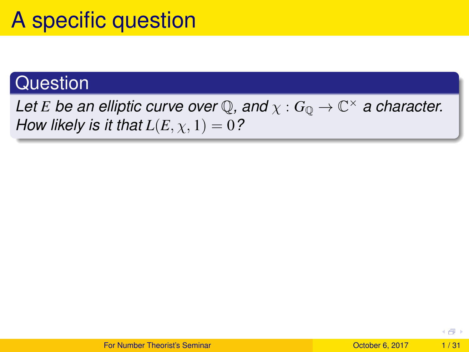#### <span id="page-0-0"></span>**Question**

Let *E* be an elliptic curve over  $\mathbb{Q}$ , and  $\chi : G_{\mathbb{Q}} \to \mathbb{C}^{\times}$  a character. *How likely is it that*  $L(E, \chi, 1) = 0$ ?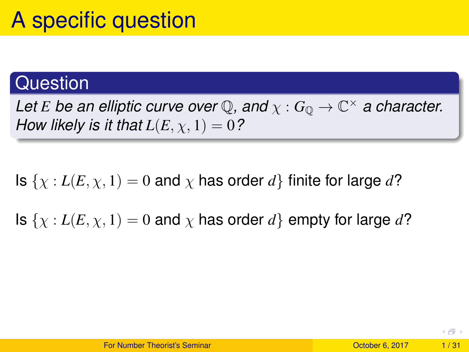#### **Question**

Let *E* be an elliptic curve over  $\mathbb{Q}$ , and  $\chi : G_{\mathbb{Q}} \to \mathbb{C}^{\times}$  a character. *How likely is it that*  $L(E, \chi, 1) = 0$ ?

Is  $\{x : L(E, x, 1) = 0 \text{ and } x \text{ has order } d\}$  finite for large d?

Is  $\{ \chi : L(E, \chi, 1) = 0 \text{ and } \chi \text{ has order } d \}$  empty for large d?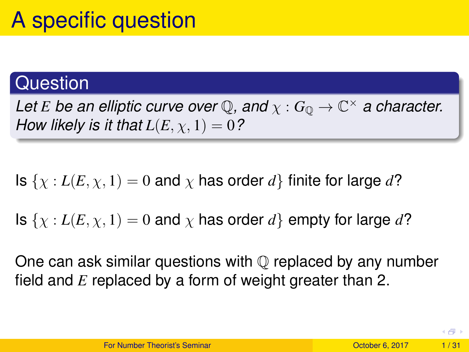#### **Question**

Let *E* be an elliptic curve over  $\mathbb{Q}$ , and  $\chi : G_{\mathbb{Q}} \to \mathbb{C}^{\times}$  a character. *How likely is it that*  $L(E, \chi, 1) = 0$ ?

Is  $\{x : L(E, x, 1) = 0 \text{ and } x \text{ has order } d\}$  finite for large d?

Is  $\{ \chi : L(E, \chi, 1) = 0 \text{ and } \chi \text{ has order } d \}$  empty for large d?

One can ask similar questions with  $\mathbb O$  replaced by any number field and *E* replaced by a form of weight greater than 2.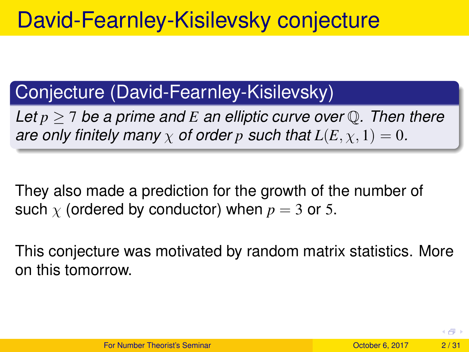#### Conjecture (David-Fearnley-Kisilevsky)

*Let p* ≥ 7 *be a prime and E an elliptic curve over* Q*. Then there are only finitely many*  $\chi$  *of order p such that*  $L(E, \chi, 1) = 0$ .

They also made a prediction for the growth of the number of such  $\chi$  (ordered by conductor) when  $p = 3$  or 5.

This conjecture was motivated by random matrix statistics. More on this tomorrow.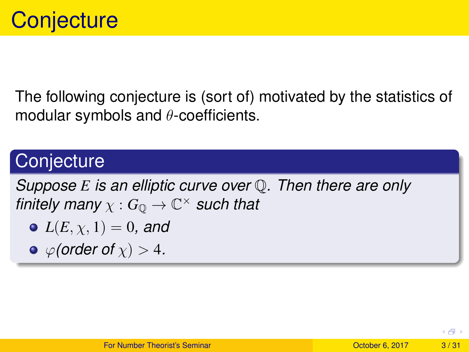The following conjecture is (sort of) motivated by the statistics of modular symbols and  $\theta$ -coefficients.

#### **Conjecture**

*Suppose E is an elliptic curve over* Q*. Then there are only finitely many*  $\chi : G_{\mathbb{Q}} \to \mathbb{C}^{\times}$  *such that* 

- $L(E, \chi, 1) = 0$ , and
- $\varphi$  (*order of*  $\chi$ )  $>$  4*.*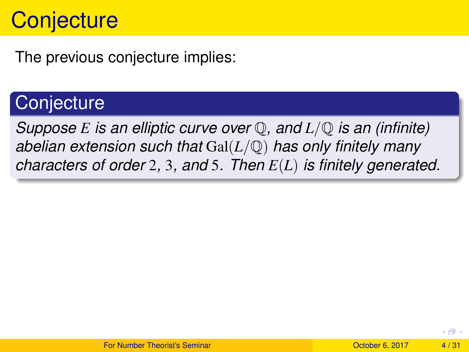## **Conjecture**

The previous conjecture implies:

#### **Conjecture**

*Suppose E is an elliptic curve over* Q*, and L*/Q *is an (infinite) abelian extension such that* Gal(*L*/Q) *has only finitely many characters of order* 2*,* 3*, and* 5*. Then E*(*L*) *is finitely generated.*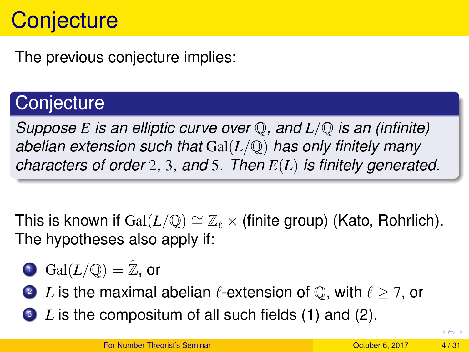# **Conjecture**

The previous conjecture implies:

#### **Conjecture**

*Suppose E is an elliptic curve over* Q*, and L*/Q *is an (infinite) abelian extension such that* Gal(*L*/Q) *has only finitely many characters of order* 2*,* 3*, and* 5*. Then E*(*L*) *is finitely generated.*

This is known if  $Gal(L/\mathbb{Q}) \cong \mathbb{Z}_\ell \times$  (finite group) (Kato, Rohrlich). The hypotheses also apply if:

- **1** Gal $(L/\mathbb{O}) = \mathbb{Z}$ , or
- 2 *L* is the maximal abelian  $\ell$ -extension of  $\mathbb{Q}$ , with  $\ell > 7$ , or
- <sup>3</sup> *L* is the compositum of all such fields (1) and (2).

4 伊 )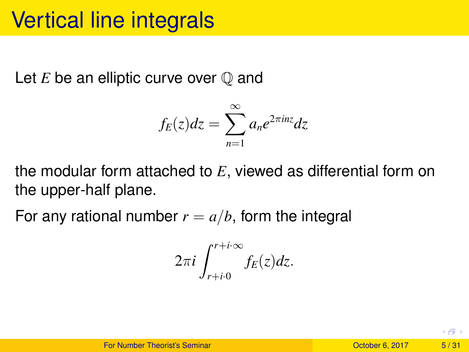### Vertical line integrals

Let *E* be an elliptic curve over Q and

$$
f_E(z)dz = \sum_{n=1}^{\infty} a_n e^{2\pi i nz} dz
$$

the modular form attached to *E*, viewed as differential form on the upper-half plane.

For any rational number  $r = a/b$ , form the integral

$$
2\pi i \int_{r+i0}^{r+i\infty} f_E(z)dz.
$$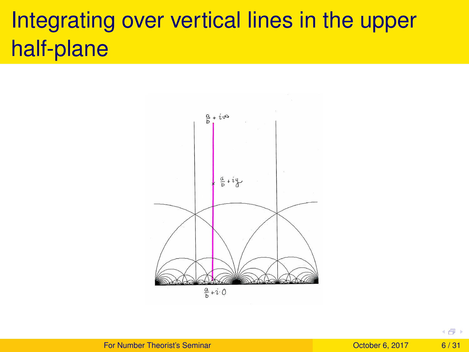# Integrating over vertical lines in the upper half-plane



 $+5 + 1$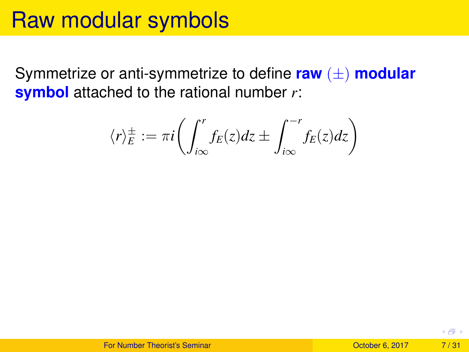### Raw modular symbols

Symmetrize or anti-symmetrize to define **raw** (±) **modular symbol** attached to the rational number *r*:

$$
\langle r \rangle_E^{\pm} := \pi i \bigg( \int_{i\infty}^r f_E(z) dz \pm \int_{i\infty}^{-r} f_E(z) dz \bigg)
$$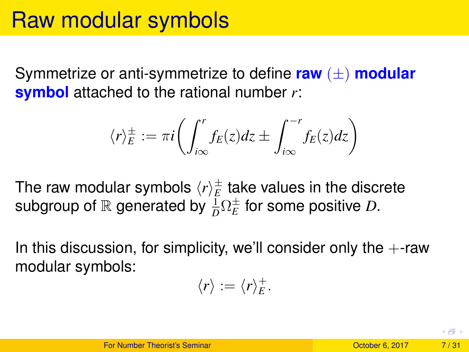Symmetrize or anti-symmetrize to define **raw** (±) **modular symbol** attached to the rational number *r*:

$$
\langle r \rangle_E^{\pm} := \pi i \bigg( \int_{i\infty}^r f_E(z) dz \pm \int_{i\infty}^{-r} f_E(z) dz \bigg)
$$

The raw modular symbols  $\langle r\rangle_E^\pm$  $^{\pm}_{E}$  take values in the discrete subgroup of  $\mathbb R$  generated by  $\frac{1}{D}\Omega_E^\pm$  $_E^{\pm}$  for some positive  $D.$ 

In this discussion, for simplicity, we'll consider only the  $+$ -raw modular symbols:

$$
\langle r \rangle := \langle r \rangle_E^+.
$$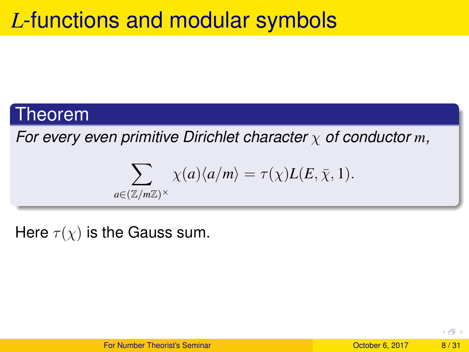## *L*-functions and modular symbols

#### Theorem

*For every even primitive Dirichlet character* χ *of conductor m,*

$$
\sum_{a\in(\mathbb{Z}/m\mathbb{Z})^\times}\chi(a)\langle a/m\rangle=\tau(\chi)L(E,\bar{\chi},1).
$$

Here  $\tau(\chi)$  is the Gauss sum.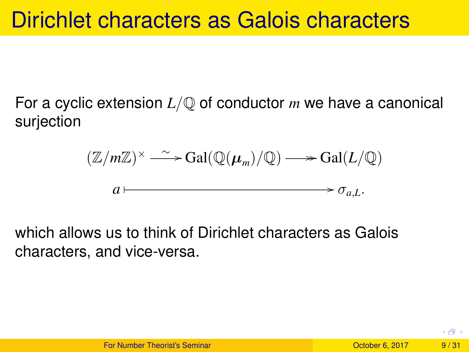For a cyclic extension *L*/Q of conductor *m* we have a canonical surjection

$$
(\mathbb{Z}/m\mathbb{Z})^{\times} \longrightarrow \text{Gal}(\mathbb{Q}(\mu_m)/\mathbb{Q}) \longrightarrow \text{Gal}(L/\mathbb{Q})
$$

$$
a \longmapsto \sigma_{a,L}.
$$

which allows us to think of Dirichlet characters as Galois characters, and vice-versa.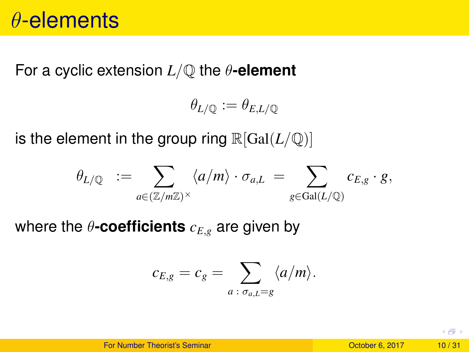#### $\theta$ -elements

For a cyclic extension *L*/Q the θ**-element**

$$
\theta_{L/\mathbb{Q}}:=\theta_{E,L/\mathbb{Q}}
$$

is the element in the group ring  $\mathbb{R}[\text{Gal}(L/\mathbb{Q})]$ 

$$
\theta_{L/\mathbb{Q}} \hspace{2mm} := \sum_{a \in (\mathbb{Z}/m\mathbb{Z})^\times} \langle a/m \rangle \cdot \sigma_{a,L} \hspace{2mm} = \sum_{g \in \mathrm{Gal}(L/\mathbb{Q})} c_{E,g} \cdot g,
$$

where the  $\theta$ -coefficients  $c_{E,g}$  are given by

$$
c_{E,g}=c_g=\sum_{a\;:\;\sigma_{a,L}=g}\langle a/m\rangle.
$$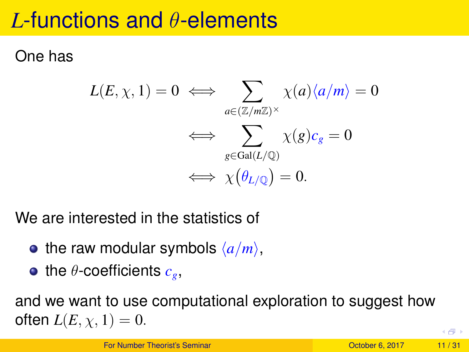## *L*-functions and θ-elements

One has

$$
L(E, \chi, 1) = 0 \iff \sum_{a \in (\mathbb{Z}/m\mathbb{Z})^{\times}} \chi(a) \langle a/m \rangle = 0
$$

$$
\iff \sum_{g \in \text{Gal}(L/\mathbb{Q})} \chi(g)c_g = 0
$$

$$
\iff \chi(\theta_{L/\mathbb{Q}}) = 0.
$$

We are interested in the statistics of

- the raw modular symbols  $\langle a/m \rangle$ ,
- **•** the  $\theta$ -coefficients  $c_g$ ,

and we want to use computational exploration to suggest how often  $L(E, \chi, 1) = 0$ .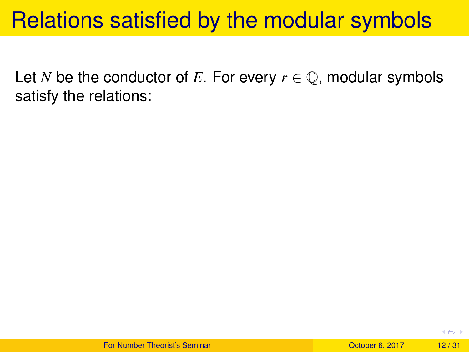Let *N* be the conductor of *E*. For every  $r \in \mathbb{Q}$ , modular symbols satisfy the relations: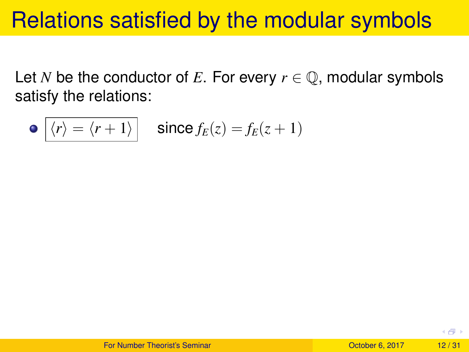Let *N* be the conductor of *E*. For every  $r \in \mathbb{Q}$ , modular symbols satisfy the relations:

$$
\bullet \boxed{\langle r \rangle = \langle r+1 \rangle} \quad \text{since } f_E(z) = f_E(z+1)
$$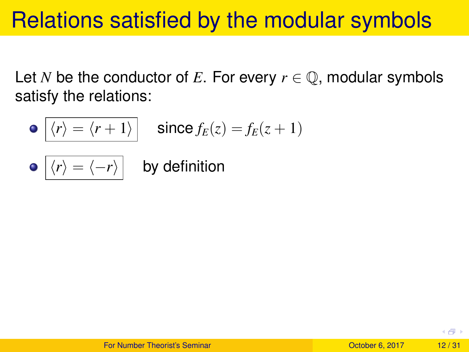Let *N* be the conductor of *E*. For every  $r \in \mathbb{Q}$ , modular symbols satisfy the relations:

\n- \n
$$
\sqrt{\langle r \rangle = \langle r + 1 \rangle}
$$
\n since  $f_E(z) = f_E(z + 1)$ \n
\n- \n $\sqrt{\langle r \rangle = \langle -r \rangle}$ \n by definition\n
\n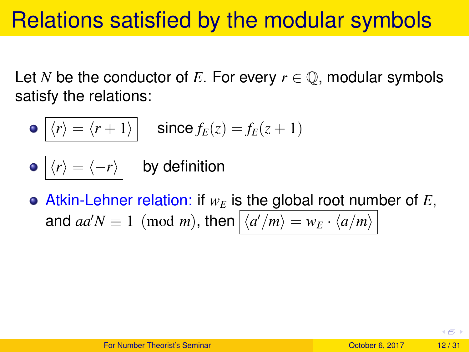Let *N* be the conductor of *E*. For every  $r \in \mathbb{O}$ , modular symbols satisfy the relations:

\n- \n
$$
\boxed{\langle r \rangle = \langle r+1 \rangle}
$$
\n since  $f_E(z) = f_E(z+1)$ \n
\n- \n $\boxed{\langle r \rangle = \langle -r \rangle}$ \n by definition\n
\n

• Atkin-Lehner relation: if  $w_E$  is the global root number of  $E$ , and  $aa'N \equiv 1 \pmod{m}$ , then  $\left| \langle a'/m \rangle = w_E \cdot \langle a/m \rangle \right|$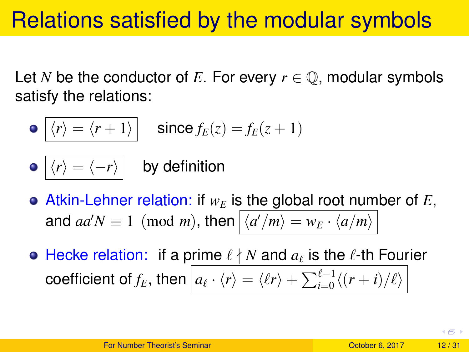Let *N* be the conductor of *E*. For every  $r \in \mathbb{O}$ , modular symbols satisfy the relations:

$$
\bullet \ \boxed{\langle r \rangle = \langle r+1 \rangle} \quad \text{since } f_E(z) = f_E(z+1)
$$

 $\bullet$   $\langle r \rangle = \langle -r \rangle$  by definition

• Atkin-Lehner relation: if  $w_E$  is the global root number of  $E$ , and  $aa'N \equiv 1 \pmod{m}$ , then  $\left| \langle a'/m \rangle = w_E \cdot \langle a/m \rangle \right|$ 

Hecke relation: if a prime  $\ell \nmid N$  and  $a_\ell$  is the  $\ell$ -th Fourier coefficient of  $f_E$ , then  $a_\ell \cdot \langle r \rangle = \langle \ell r \rangle + \sum_{i=0}^{\ell-1} \langle (r+i)/\ell \rangle$ 

4. 点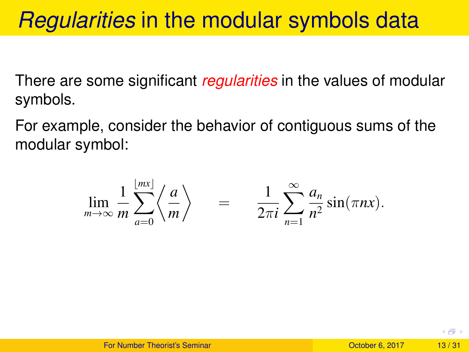## *Regularities* in the modular symbols data

There are some significant *regularities* in the values of modular symbols.

For example, consider the behavior of contiguous sums of the modular symbol:

$$
\lim_{m\to\infty}\frac{1}{m}\sum_{a=0}^{\lfloor mx\rfloor}\left\langle\frac{a}{m}\right\rangle\qquad=\qquad\frac{1}{2\pi i}\sum_{n=1}^{\infty}\frac{a_n}{n^2}\sin(\pi nx).
$$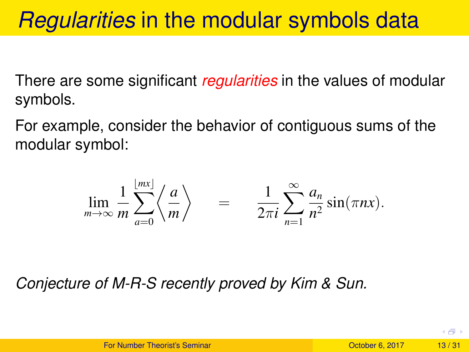## *Regularities* in the modular symbols data

There are some significant *regularities* in the values of modular symbols.

For example, consider the behavior of contiguous sums of the modular symbol:

$$
\lim_{m\to\infty}\frac{1}{m}\sum_{a=0}^{\lfloor mx\rfloor}\left\langle\frac{a}{m}\right\rangle\qquad\equiv\qquad\frac{1}{2\pi i}\sum_{n=1}^{\infty}\frac{a_n}{n^2}\sin(\pi nx).
$$

*Conjecture of M-R-S recently proved by Kim & Sun.*

| For Number Theorist's Seminar | October 6, 2017 | 13/31 |
|-------------------------------|-----------------|-------|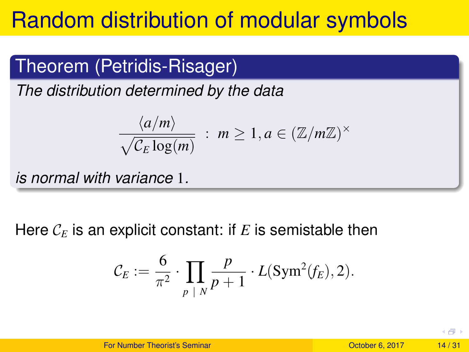# Random distribution of modular symbols

#### Theorem (Petridis-Risager)

*The distribution determined by the data*

$$
\frac{\langle a/m\rangle}{\sqrt{C_E \log(m)}} \; : \; m \geq 1, a \in (\mathbb{Z}/m\mathbb{Z})^{\times}
$$

*is normal with variance* 1*.*

Here C*<sup>E</sup>* is an explicit constant: if *E* is semistable then

$$
\mathcal{C}_E := \frac{6}{\pi^2} \cdot \prod_{p \mid N} \frac{p}{p+1} \cdot L(\text{Sym}^2(f_E), 2).
$$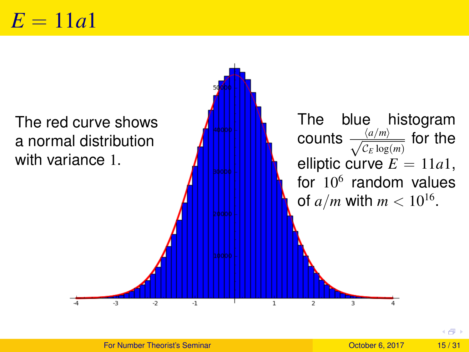#### $E = 11a1$



4. 点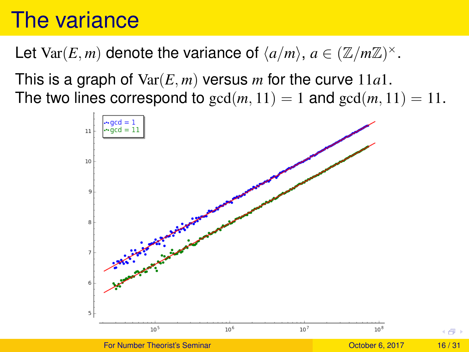## The variance

Let Var(*E*, *m*) denote the variance of  $\langle a/m \rangle$ ,  $a \in (\mathbb{Z}/m\mathbb{Z})^{\times}$ .

This is a graph of Var(*E*, *m*) versus *m* for the curve 11*a*1. The two lines correspond to  $gcd(m, 11) = 1$  and  $gcd(m, 11) = 11$ .



[For Number Theorist's Seminar](#page-0-0) Contract Contract Contract Contract Contract Contract Contract 16/31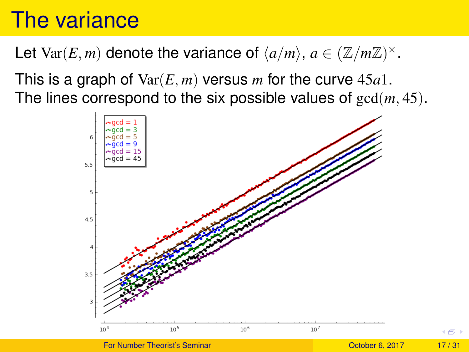## The variance

Let Var(*E*, *m*) denote the variance of  $\langle a/m \rangle$ ,  $a \in (\mathbb{Z}/m\mathbb{Z})^{\times}$ .

This is a graph of Var(*E*, *m*) versus *m* for the curve 45*a*1. The lines correspond to the six possible values of gcd(*m*, 45).



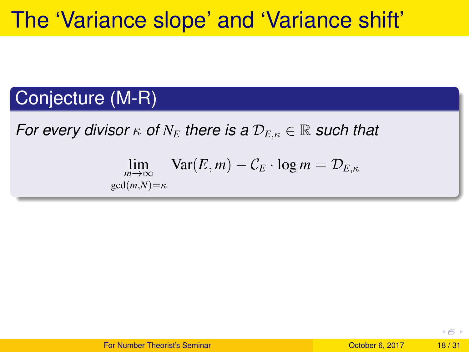## The 'Variance slope' and 'Variance shift'

#### Conjecture (M-R)

*For every divisor*  $\kappa$  *of*  $N_E$  *there is a*  $\mathcal{D}_{E,\kappa} \in \mathbb{R}$  *such that* 

$$
\lim_{\substack{m\to\infty\\ \gcd(m,N)=\kappa}} \text{Var}(E,m) - C_E \cdot \log m = \mathcal{D}_{E,\kappa}
$$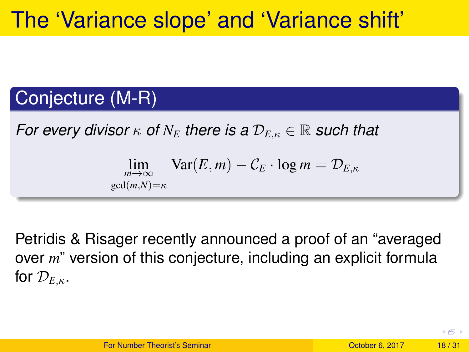#### Conjecture (M-R)

*For every divisor*  $\kappa$  *of*  $N_E$  *there is a*  $\mathcal{D}_{E,K} \in \mathbb{R}$  *such that* 

$$
\lim_{\substack{m\to\infty\\ \gcd(m,N)=\kappa}} \text{Var}(E,m) - C_E \cdot \log m = \mathcal{D}_{E,\kappa}
$$

Petridis & Risager recently announced a proof of an "averaged over *m*" version of this conjecture, including an explicit formula for  $\mathcal{D}_{E,\kappa}$ .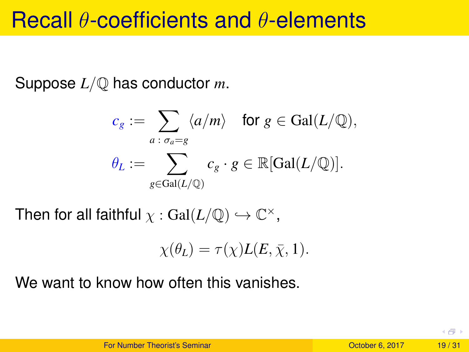### Recall  $\theta$ -coefficients and  $\theta$ -elements

Suppose *L*/Q has conductor *m*.

$$
c_g := \sum_{a \,:\, \sigma_a = g} \langle a/m \rangle \quad \text{for } g \in \text{Gal}(L/\mathbb{Q}),
$$

$$
\theta_L := \sum_{g \in \text{Gal}(L/\mathbb{Q})} c_g \cdot g \in \mathbb{R}[\text{Gal}(L/\mathbb{Q})].
$$

Then for all faithful  $\chi : \operatorname{Gal}(L/{\mathbb Q}) \hookrightarrow {\mathbb C}^\times,$ 

$$
\chi(\theta_L) = \tau(\chi)L(E, \bar{\chi}, 1).
$$

We want to know how often this vanishes.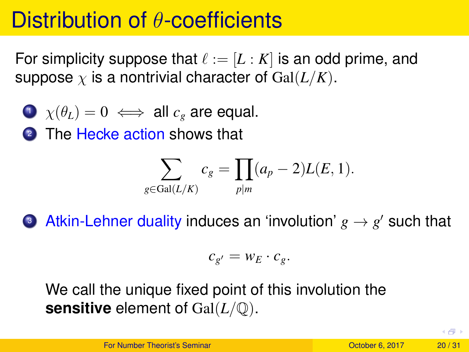## Distribution of θ-coefficients

For simplicity suppose that  $\ell := [L : K]$  is an odd prime, and suppose  $\chi$  is a nontrivial character of  $Gal(L/K)$ .

$$
\bullet \ \ \chi(\theta_L) = 0 \iff \text{all } c_g \text{ are equal.}
$$

<sup>2</sup> The Hecke action shows that

$$
\sum_{g \in \text{Gal}(L/K)} c_g = \prod_{p|m} (a_p - 2)L(E, 1).
$$

**3** Atkin-Lehner duality induces an 'involution'  $g \rightarrow g'$  such that

$$
c_{g'} = w_E \cdot c_g.
$$

We call the unique fixed point of this involution the **sensitive** element of Gal( $L/\mathbb{Q}$ ).

4. 点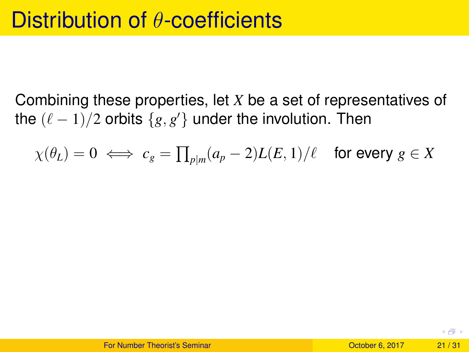Combining these properties, let *X* be a set of representatives of the  $(\ell - 1)/2$  orbits  $\{g, g'\}$  under the involution. Then

$$
\chi(\theta_L) = 0 \iff c_g = \prod_{p|m} (a_p - 2)L(E, 1)/\ell \quad \text{ for every } g \in X
$$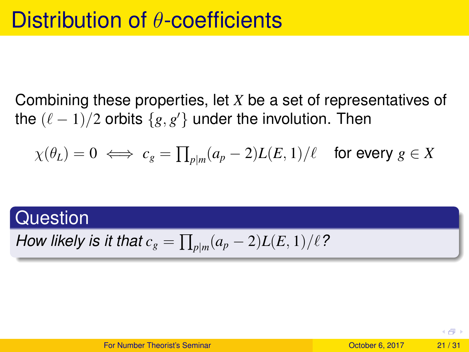Combining these properties, let *X* be a set of representatives of the  $(\ell - 1)/2$  orbits  $\{g, g'\}$  under the involution. Then

$$
\chi(\theta_L) = 0 \iff c_g = \prod_{p|m} (a_p - 2)L(E, 1)/\ell \quad \text{ for every } g \in X
$$

#### **Question**

 $H$ ow likely is it that  $c_g = \prod_{p \mid m} (a_p - 2) L(E,1)/\ell$  ?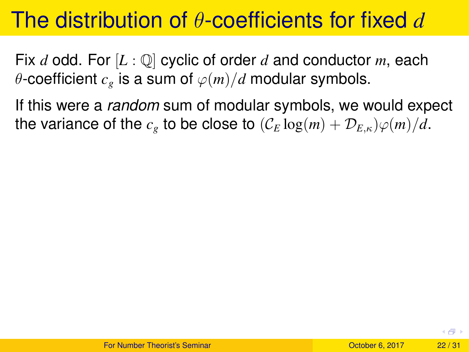Fix *d* odd. For [*L* : Q] cyclic of order *d* and conductor *m*, each  $\theta$ -coefficient  $c_g$  is a sum of  $\varphi(m)/d$  modular symbols.

If this were a *random* sum of modular symbols, we would expect the variance of the  $c_g$  to be close to  $(C_E \log(m) + \mathcal{D}_{E,\kappa})\varphi(m)/d$ .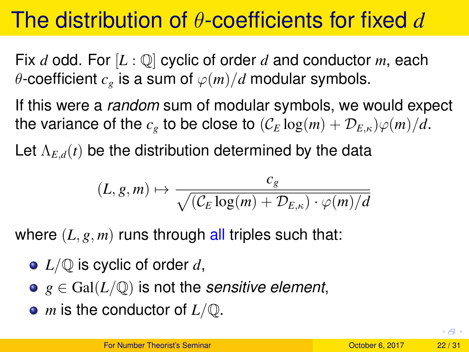Fix *d* odd. For [*L* : Q] cyclic of order *d* and conductor *m*, each  $\theta$ -coefficient  $c_g$  is a sum of  $\varphi(m)/d$  modular symbols.

If this were a *random* sum of modular symbols, we would expect the variance of the  $c_g$  to be close to  $(C_E \log(m) + \mathcal{D}_{E,\kappa})\varphi(m)/d$ .

Let  $\Lambda_{E,d}(t)$  be the distribution determined by the data

$$
(L, g, m) \mapsto \frac{c_g}{\sqrt{(C_E \log(m) + \mathcal{D}_{E,\kappa}) \cdot \varphi(m)/d}}
$$

where  $(L, g, m)$  runs through all triples such that:

- *L*/Q is cyclic of order *d*,
- $g \in \text{Gal}(L/\mathbb{Q})$  is not the *sensitive element*,
- *m* is the conductor of *L*/Q.

 $(5 - 1)$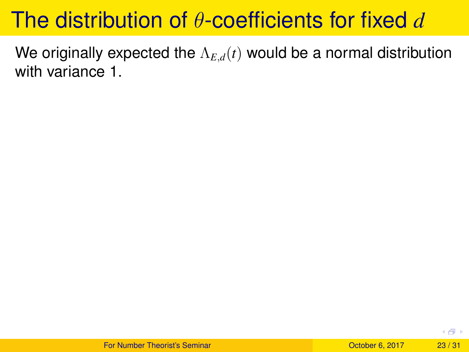We originally expected the  $\Lambda_{E,d}(t)$  would be a normal distribution with variance 1.

 $+5 + 1$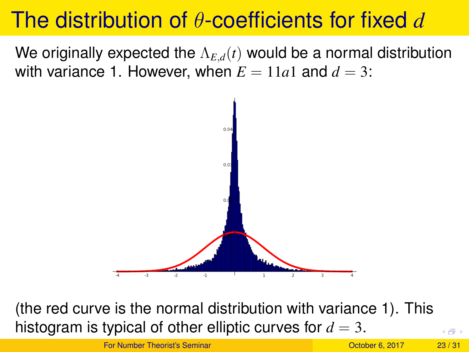We originally expected the  $\Lambda_{E,d}(t)$  would be a normal distribution with variance 1. However, when  $E = 11a1$  and  $d = 3$ :



(the red curve is the normal distribution with variance 1). This histogram is typical of other elliptic curves for  $d = 3$ .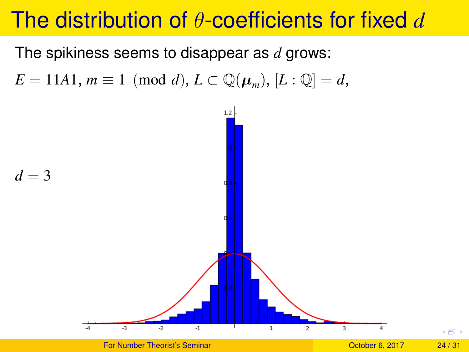The spikiness seems to disappear as *d* grows:

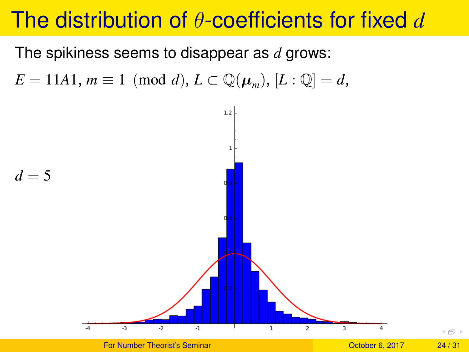The spikiness seems to disappear as *d* grows:

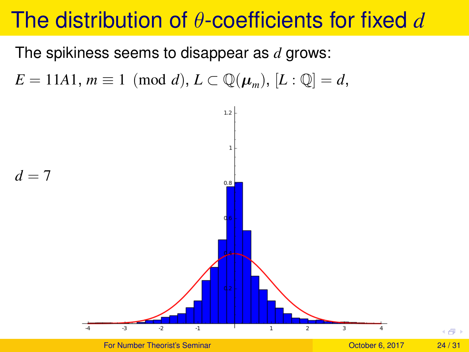The spikiness seems to disappear as *d* grows:

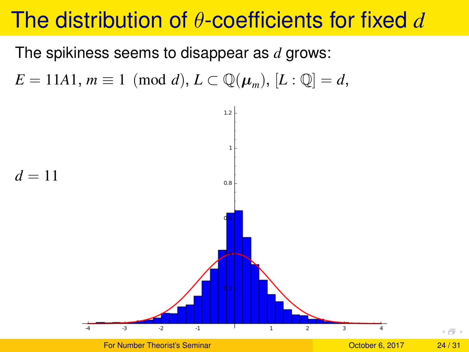The spikiness seems to disappear as *d* grows:

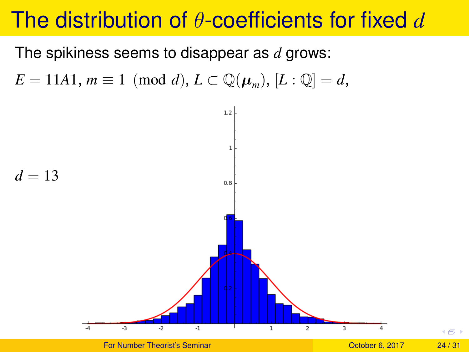The spikiness seems to disappear as *d* grows:

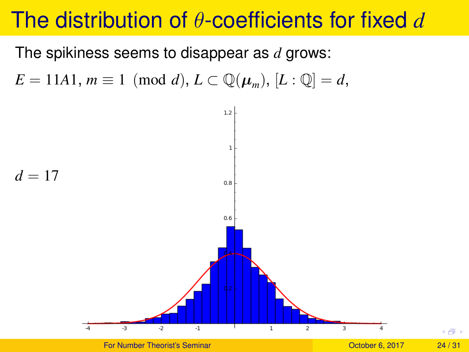The spikiness seems to disappear as *d* grows:

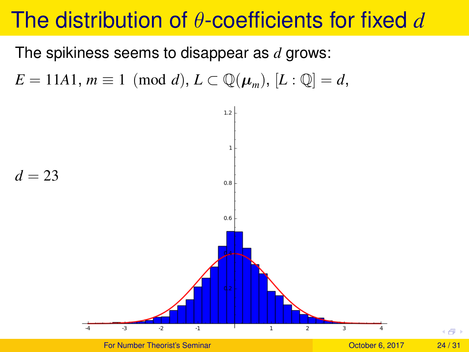The spikiness seems to disappear as *d* grows:

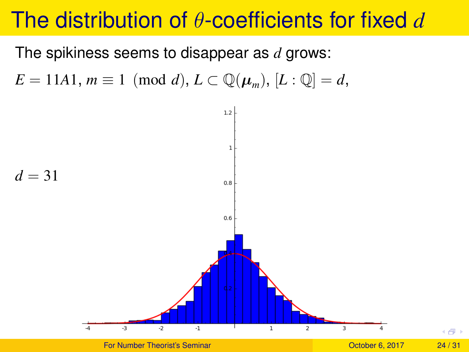The spikiness seems to disappear as *d* grows:

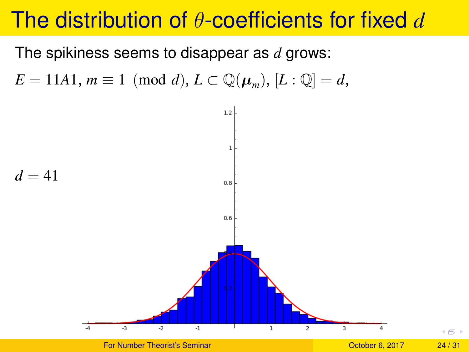The spikiness seems to disappear as *d* grows:

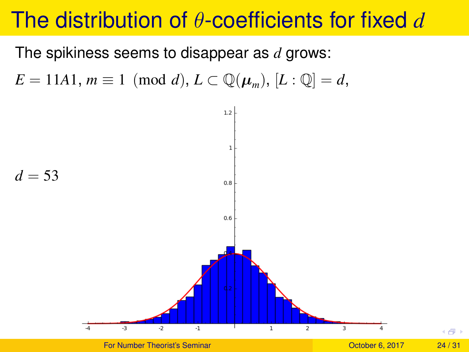The spikiness seems to disappear as *d* grows:

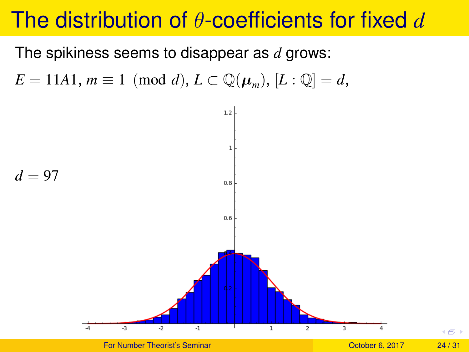The spikiness seems to disappear as *d* grows:

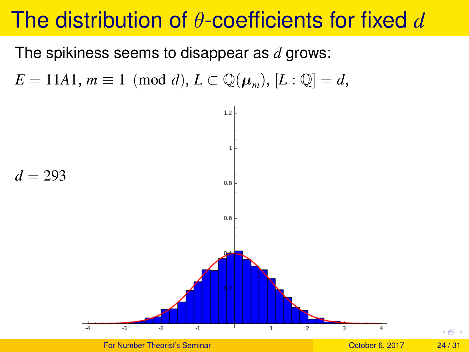The spikiness seems to disappear as *d* grows:

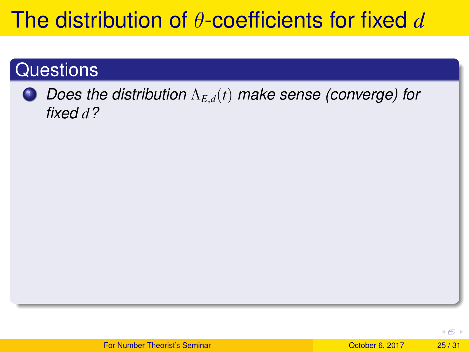#### **Questions**

#### <sup>1</sup> *Does the distribution* Λ*E*,*d*(*t*) *make sense (converge) for fixed d?*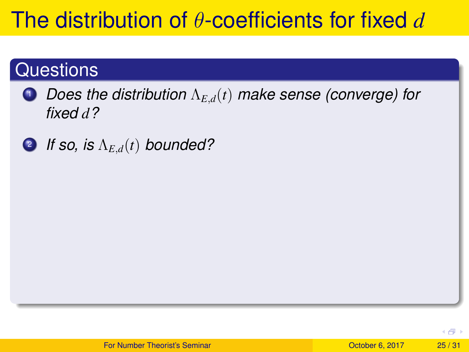#### **Questions**

- <sup>1</sup> *Does the distribution* Λ*E*,*d*(*t*) *make sense (converge) for fixed d?*
- <sup>2</sup> *If so, is* Λ*E*,*d*(*t*) *bounded?*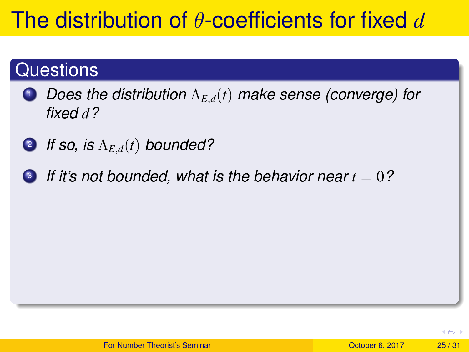#### **Questions**

- <sup>1</sup> *Does the distribution* Λ*E*,*d*(*t*) *make sense (converge) for fixed d?*
- <sup>2</sup> *If so, is* Λ*E*,*d*(*t*) *bounded?*
- 3 *If it's not bounded, what is the behavior near t* = 0*?*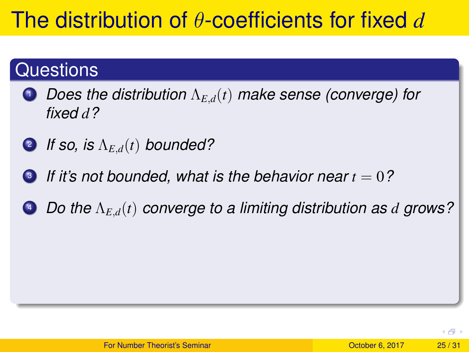#### **Questions**

- <sup>1</sup> *Does the distribution* Λ*E*,*d*(*t*) *make sense (converge) for fixed d?*
- <sup>2</sup> *If so, is* Λ*E*,*d*(*t*) *bounded?*
- 3 *If it's not bounded, what is the behavior near t* = 0*?*
- <sup>4</sup> *Do the* Λ*E*,*d*(*t*) *converge to a limiting distribution as d grows?*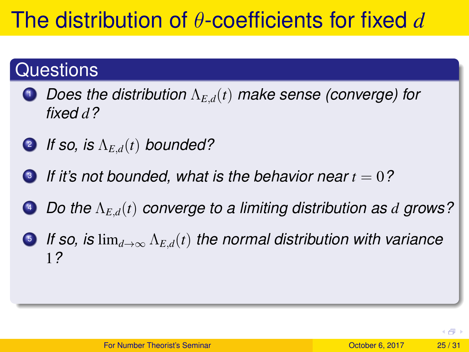#### **Questions**

- <sup>1</sup> *Does the distribution* Λ*E*,*d*(*t*) *make sense (converge) for fixed d?*
- <sup>2</sup> *If so, is* Λ*E*,*d*(*t*) *bounded?*
- 3 *If it's not bounded, what is the behavior near t* = 0*?*
- <sup>4</sup> *Do the* Λ*E*,*d*(*t*) *converge to a limiting distribution as d grows?*
- 5 *If so, is* lim*d*→∞ Λ*E*,*d*(*t*) *the normal distribution with variance* 1*?*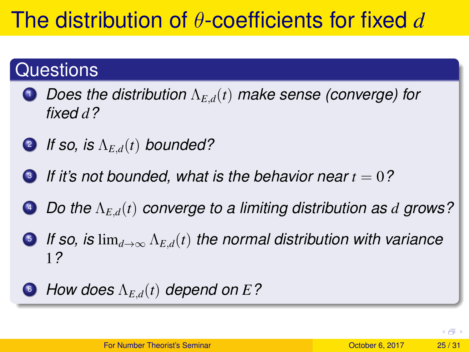#### **Questions**

- <sup>1</sup> *Does the distribution* Λ*E*,*d*(*t*) *make sense (converge) for fixed d?*
- <sup>2</sup> *If so, is* Λ*E*,*d*(*t*) *bounded?*
- 3 *If it's not bounded, what is the behavior near t* = 0*?*
- <sup>4</sup> *Do the* Λ*E*,*d*(*t*) *converge to a limiting distribution as d grows?*
- 5 *If so, is* lim*d*→∞ Λ*E*,*d*(*t*) *the normal distribution with variance* 1*?*
- <sup>6</sup> *How does* Λ*E*,*d*(*t*) *depend on E?*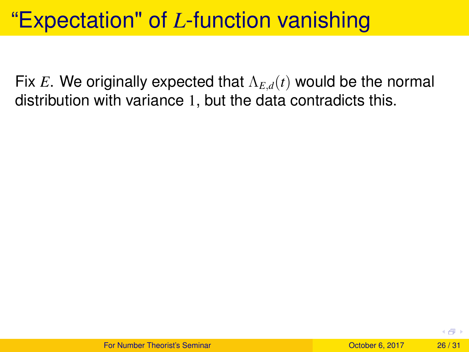## "Expectation" of *L*-function vanishing

Fix *E*. We originally expected that  $\Lambda_{E,d}(t)$  would be the normal distribution with variance 1, but the data contradicts this.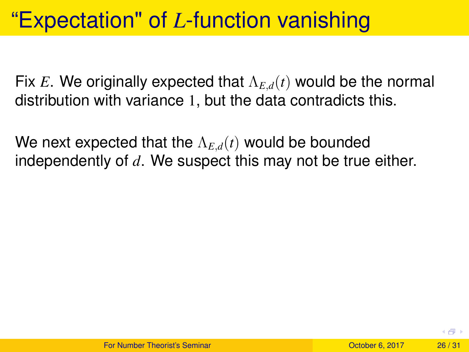## "Expectation" of *L*-function vanishing

Fix *E*. We originally expected that  $\Lambda_{E,d}(t)$  would be the normal distribution with variance 1, but the data contradicts this.

We next expected that the  $\Lambda_{E,d}(t)$  would be bounded independently of *d*. We suspect this may not be true either.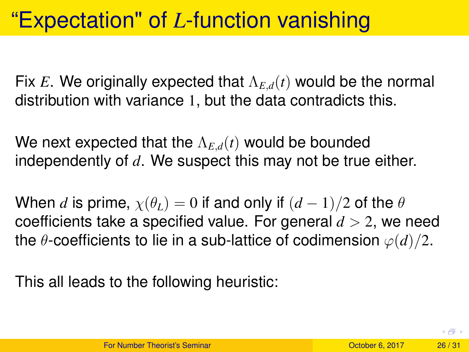Fix *E*. We originally expected that  $\Lambda_{E,d}(t)$  would be the normal distribution with variance 1, but the data contradicts this.

We next expected that the  $\Lambda_{E,d}(t)$  would be bounded independently of *d*. We suspect this may not be true either.

When *d* is prime,  $\chi(\theta_I) = 0$  if and only if  $(d-1)/2$  of the  $\theta$ coefficients take a specified value. For general  $d > 2$ , we need the  $\theta$ -coefficients to lie in a sub-lattice of codimension  $\varphi(d)/2$ .

This all leads to the following heuristic: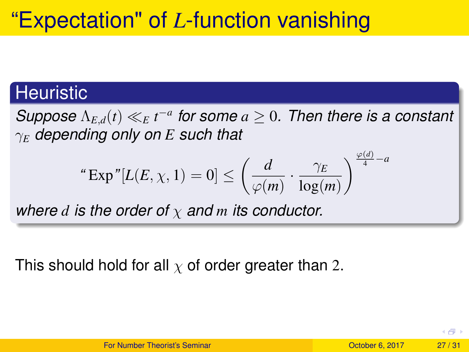## "Expectation" of *L*-function vanishing

#### **Heuristic**

*Suppose*  $\Lambda_{E,d}(t) \ll_E t^{-a}$  for some  $a \geq 0$ . Then there is a constant γ*<sup>E</sup> depending only on E such that*

$$
\text{``Exp"}[L(E, \chi, 1) = 0] \leq \left(\frac{d}{\varphi(m)} \cdot \frac{\gamma_E}{\log(m)}\right)^{\frac{\varphi(d)}{4} - a}
$$

*where d is the order of* χ *and m its conductor.*

This should hold for all  $\chi$  of order greater than 2.

4 €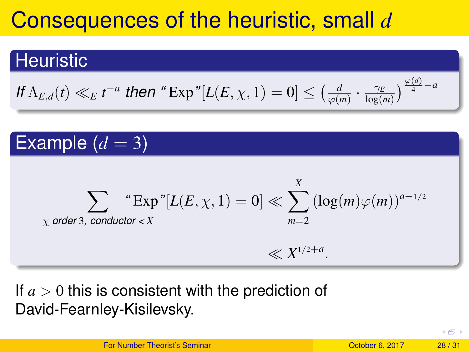# Consequences of the heuristic, small *d*

#### **Heuristic**

If 
$$
\Lambda_{E,d}(t) \ll_E t^{-a}
$$
 then "Exp"  $[L(E, \chi, 1) = 0] \leq \left(\frac{d}{\varphi(m)} \cdot \frac{\gamma_E}{\log(m)}\right)^{\frac{\varphi(d)}{4} - a}$ 

Example  $(d = 3)$  $\sum$  "Exp"[ $L(E, \chi, 1) = 0$ ]  $\ll \sum$ χ *order* 3*, conductor < X X m*=2  $(\log(m)\varphi(m))^{a-1/2}$  $\ll X^{1/2+a}$ .

If  $a > 0$  this is consistent with the prediction of David-Fearnley-Kisilevsky.

| <b>For Number Theorist's Seminar</b> | October 6, 2017 | 28/31 |
|--------------------------------------|-----------------|-------|

 $\overline{a}$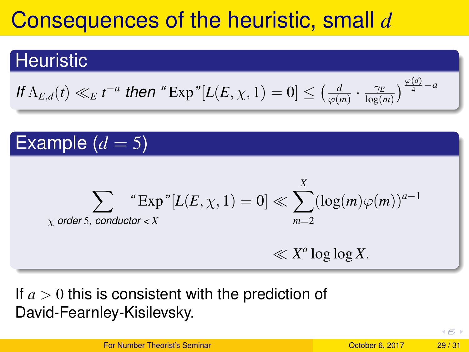# Consequences of the heuristic, small *d*

#### **Heuristic**

If 
$$
\Lambda_{E,d}(t) \ll_E t^{-a}
$$
 then "Exp"  $[L(E, \chi, 1) = 0] \leq \left(\frac{d}{\varphi(m)} \cdot \frac{\gamma_E}{\log(m)}\right)^{\frac{\varphi(d)}{4} - a}$ 

Example  $(d = 5)$  $\sum$  "Exp"[ $L(E, \chi, 1) = 0$ ]  $\ll \sum$ χ *order* 5*, conductor < X X*  $m=2$  $(\log(m)\varphi(m))^{a-1}$  $\ll X^a \log \log X$ .

If *a* > 0 this is consistent with the prediction of David-Fearnley-Kisilevsky.

| For Number Theorist's Seminar | October 6, 2017 | 29/31 |
|-------------------------------|-----------------|-------|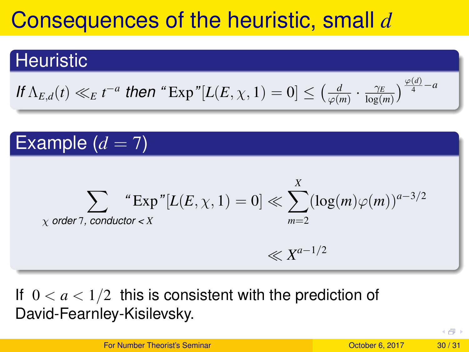# <span id="page-60-0"></span>Consequences of the heuristic, small *d*

#### **Heuristic**

If 
$$
\Lambda_{E,d}(t) \ll_E t^{-a}
$$
 then "Exp"  $[L(E, \chi, 1) = 0] \leq \left(\frac{d}{\varphi(m)} \cdot \frac{\gamma_E}{\log(m)}\right)^{\frac{\varphi(d)}{4} - a}$ 

Example  $(d = 7)$ 

$$
\sum_{\chi \text{ order } 7, \text{ conductor } < X} \text{``Exp"}[L(E, \chi, 1) = 0] \ll \sum_{m=2}^{X} (\log(m)\varphi(m))^{a-3/2}
$$
  

$$
\ll X^{a-1/2}
$$

If  $0 < a < 1/2$  this is consistent with the prediction of David-Fearnley-Kisilevsky.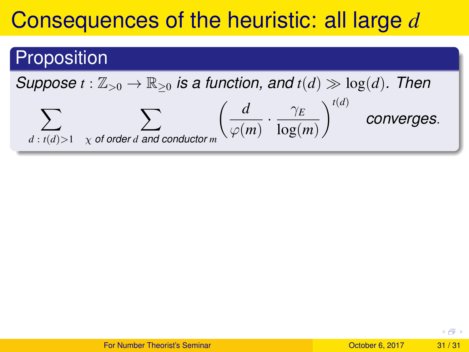# <span id="page-61-0"></span>Consequences of the heuristic: all large *d*

#### **Proposition**

*Suppose*  $t : \mathbb{Z}_{>0} \to \mathbb{R}_{\geq 0}$  *is a function, and*  $t(d) \gg log(d)$ *. Then*  $\sum$  $d : t(d) > 1$  $\sum$ χ *of order d and conductor m d*  $\varphi(m)$  $\frac{\gamma_E}{1-\gamma_E}$ log(*m*)  $\bigwedge^{t(d)}$ *converges*.